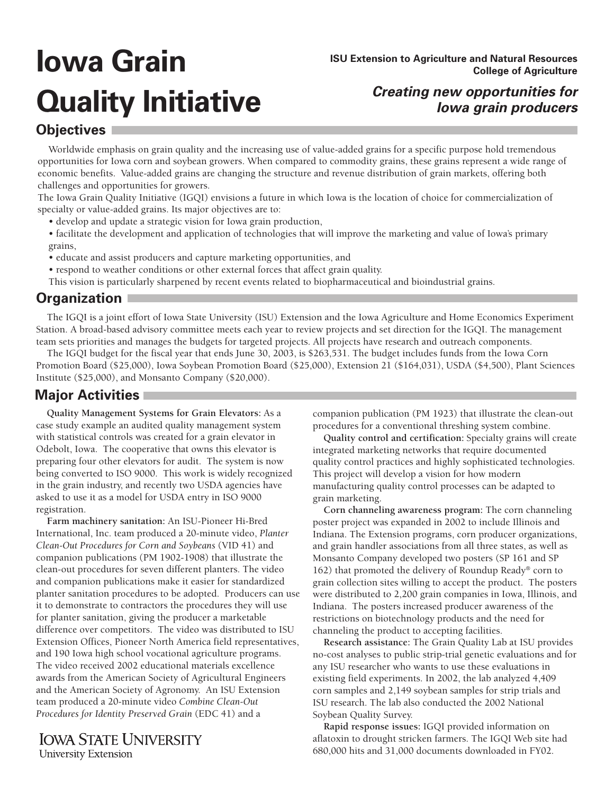# **Iowa Grain Quality Initiative** *Creating new opportunities for*

**ISU Extension to Agriculture and Natural Resources College of Agriculture**

## **Iowa grain producers**

#### **Objectives**

Worldwide emphasis on grain quality and the increasing use of value-added grains for a specific purpose hold tremendous opportunities for Iowa corn and soybean growers. When compared to commodity grains, these grains represent a wide range of economic benefits. Value-added grains are changing the structure and revenue distribution of grain markets, offering both challenges and opportunities for growers.

The Iowa Grain Quality Initiative (IGQI) envisions a future in which Iowa is the location of choice for commercialization of specialty or value-added grains. Its major objectives are to:

- develop and update a strategic vision for Iowa grain production,
- facilitate the development and application of technologies that will improve the marketing and value of Iowa's primary grains,
- educate and assist producers and capture marketing opportunities, and
- respond to weather conditions or other external forces that affect grain quality.

This vision is particularly sharpened by recent events related to biopharmaceutical and bioindustrial grains.

### **Organization**

The IGQI is a joint effort of Iowa State University (ISU) Extension and the Iowa Agriculture and Home Economics Experiment Station. A broad-based advisory committee meets each year to review projects and set direction for the IGQI. The management team sets priorities and manages the budgets for targeted projects. All projects have research and outreach components.

The IGQI budget for the fiscal year that ends June 30, 2003, is \$263,531. The budget includes funds from the Iowa Corn Promotion Board (\$25,000), Iowa Soybean Promotion Board (\$25,000), Extension 21 (\$164,031), USDA (\$4,500), Plant Sciences Institute (\$25,000), and Monsanto Company (\$20,000).

#### **Major Activities**

**Quality Management Systems for Grain Elevators:** As a case study example an audited quality management system with statistical controls was created for a grain elevator in Odebolt, Iowa. The cooperative that owns this elevator is preparing four other elevators for audit. The system is now being converted to ISO 9000. This work is widely recognized in the grain industry, and recently two USDA agencies have asked to use it as a model for USDA entry in ISO 9000 registration.

**Farm machinery sanitation:** An ISU-Pioneer Hi-Bred International, Inc. team produced a 20-minute video, *Planter Clean-Out Procedures for Corn and Soybeans* (VID 41) and companion publications (PM 1902-1908) that illustrate the clean-out procedures for seven different planters. The video and companion publications make it easier for standardized planter sanitation procedures to be adopted. Producers can use it to demonstrate to contractors the procedures they will use for planter sanitation, giving the producer a marketable difference over competitors. The video was distributed to ISU Extension Offices, Pioneer North America field representatives, and 190 Iowa high school vocational agriculture programs. The video received 2002 educational materials excellence awards from the American Society of Agricultural Engineers and the American Society of Agronomy. An ISU Extension team produced a 20-minute video *Combine Clean-Out Procedures for Identity Preserved Grain* (EDC 41) and a

**IOWA STATE UNIVERSITY University Extension** 

companion publication (PM 1923) that illustrate the clean-out procedures for a conventional threshing system combine.

**Quality control and certification:** Specialty grains will create integrated marketing networks that require documented quality control practices and highly sophisticated technologies. This project will develop a vision for how modern manufacturing quality control processes can be adapted to grain marketing.

**Corn channeling awareness program:** The corn channeling poster project was expanded in 2002 to include Illinois and Indiana. The Extension programs, corn producer organizations, and grain handler associations from all three states, as well as Monsanto Company developed two posters (SP 161 and SP 162) that promoted the delivery of Roundup Ready® corn to grain collection sites willing to accept the product. The posters were distributed to 2,200 grain companies in Iowa, Illinois, and Indiana. The posters increased producer awareness of the restrictions on biotechnology products and the need for channeling the product to accepting facilities.

**Research assistance:** The Grain Quality Lab at ISU provides no-cost analyses to public strip-trial genetic evaluations and for any ISU researcher who wants to use these evaluations in existing field experiments. In 2002, the lab analyzed 4,409 corn samples and 2,149 soybean samples for strip trials and ISU research. The lab also conducted the 2002 National Soybean Quality Survey.

**Rapid response issues:** IGQI provided information on aflatoxin to drought stricken farmers. The IGQI Web site had 680,000 hits and 31,000 documents downloaded in FY02.